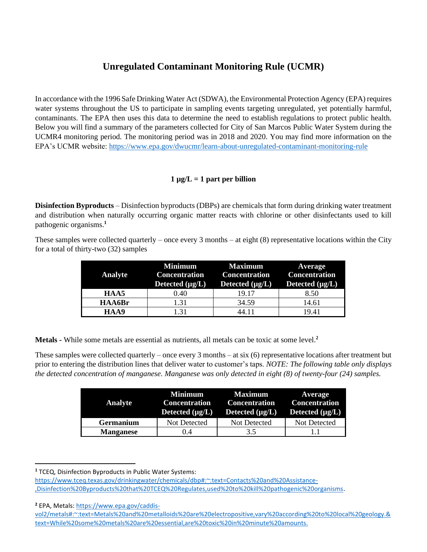## **Unregulated Contaminant Monitoring Rule (UCMR)**

In accordance with the 1996 Safe Drinking Water Act (SDWA), the Environmental Protection Agency (EPA) requires water systems throughout the US to participate in sampling events targeting unregulated, yet potentially harmful, contaminants. The EPA then uses this data to determine the need to establish regulations to protect public health. Below you will find a summary of the parameters collected for City of San Marcos Public Water System during the UCMR4 monitoring period. The monitoring period was in 2018 and 2020. You may find more information on the EPA's UCMR website: https://www.epa.gov/dwucmr/learn-about-unregulated-contaminant-monitoring-rule

## $1 \mu g/L = 1$  part per billion

**Disinfection Byproducts** – Disinfection byproducts (DBPs) are chemicals that form during drinking water treatment and distribution when naturally occurring organic matter reacts with chlorine or other disinfectants used to kill pathogenic organisms.**<sup>1</sup>**

These samples were collected quarterly – once every 3 months – at eight (8) representative locations within the City for a total of thirty-two (32) samples

| <b>Analyte</b> | <b>Minimum</b><br><b>Concentration</b><br>Detected $(\mu g/L)$ | <b>Maximum</b><br><b>Concentration</b><br>Detected $(\mu g/L)$ | Average<br><b>Concentration</b><br>Detected $(\mu g/L)$ |
|----------------|----------------------------------------------------------------|----------------------------------------------------------------|---------------------------------------------------------|
| HAA5           | 0.40                                                           | 19.17                                                          | 8.50                                                    |
| HAA6Br         | 1.31                                                           | 34.59                                                          | 14.61                                                   |
| HAA9           | 1.31                                                           | 44.11                                                          | 19.41                                                   |

**Metals -** While some metals are essential as nutrients, all metals can be toxic at some level.**<sup>2</sup>**

These samples were collected quarterly – once every 3 months – at six (6) representative locations after treatment but prior to entering the distribution lines that deliver water to customer's taps. *NOTE: The following table only displays the detected concentration of manganese. Manganese was only detected in eight (8) of twenty-four (24) samples.*

| <b>Analyte</b>   | Minimum<br><b>Concentration</b><br>Detected $(\mu g/L)$ | <b>Maximum</b><br><b>Concentration</b><br>Detected $(\mu g/L)$ | <b>Average</b><br><b>Concentration</b><br>Detected $(\mu g/L)$ |
|------------------|---------------------------------------------------------|----------------------------------------------------------------|----------------------------------------------------------------|
| <b>Germanium</b> | Not Detected                                            | Not Detected                                                   | Not Detected                                                   |
| <b>Manganese</b> | 0.4                                                     | 3.5                                                            |                                                                |

**<sup>1</sup>** TCEQ, Disinfection Byproducts in Public Water Systems:

**<sup>2</sup>** EPA, Metals: https://www.epa.gov/caddis-

https://www.tceq.texas.gov/drinkingwater/chemicals/dbp#:~:text=Contacts%20and%20Assistance- ,Disinfection%20Byproducts%20that%20TCEQ%20Regulates,used%20to%20kill%20pathogenic%20organisms.

vol2/metals#:~:text=Metals%20and%20metalloids%20are%20electropositive,vary%20according%20to%20local%20geology.& text=While%20some%20metals%20are%20essential,are%20toxic%20in%20minute%20amounts.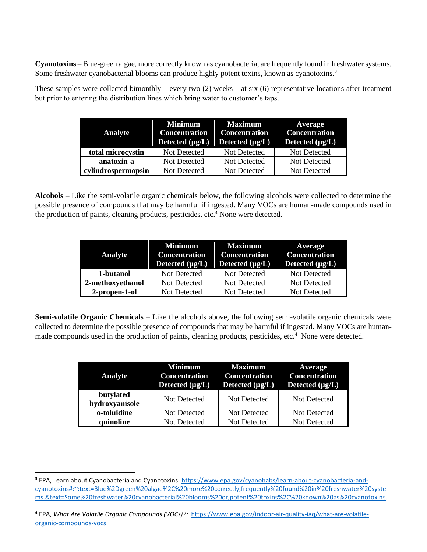**Cyanotoxins** – Blue-green algae, more correctly known as cyanobacteria, are frequently found in freshwater systems. Some freshwater cyanobacterial blooms can produce highly potent toxins, known as cyanotoxins.<sup>3</sup>

These samples were collected bimonthly – every two  $(2)$  weeks – at six  $(6)$  representative locations after treatment but prior to entering the distribution lines which bring water to customer's taps.

| <b>Analyte</b>     | Minimum<br><b>Concentration</b><br>Detected $(\mu g/L)$ | <b>Maximum</b><br><b>Concentration</b><br>Detected $(\mu g/L)$ | <b>Average</b><br><b>Concentration</b><br>Detected $(\mu g/L)$ |
|--------------------|---------------------------------------------------------|----------------------------------------------------------------|----------------------------------------------------------------|
| total microcystin  | Not Detected                                            | Not Detected                                                   | Not Detected                                                   |
| anatoxin-a         | Not Detected                                            | Not Detected                                                   | Not Detected                                                   |
| cylindrospermopsin | Not Detected                                            | Not Detected                                                   | Not Detected                                                   |

**Alcohols** – Like the semi-volatile organic chemicals below, the following alcohols were collected to determine the possible presence of compounds that may be harmful if ingested. Many VOCs are human-made compounds used in the production of paints, cleaning products, pesticides, etc. <sup>4</sup> None were detected.

| <b>Analyte</b>   | <b>Minimum</b><br><b>Concentration</b><br>Detected $(\mu g/L)$ | Maximum<br><b>Concentration</b><br>Detected $(\mu g/L)$ | <b>Average</b><br><b>Concentration</b><br>Detected $(\mu g/L)$ |
|------------------|----------------------------------------------------------------|---------------------------------------------------------|----------------------------------------------------------------|
| 1-butanol        | Not Detected                                                   | Not Detected                                            | Not Detected                                                   |
| 2-methoxyethanol | Not Detected                                                   | Not Detected                                            | Not Detected                                                   |
| 2-propen-1-ol    | Not Detected                                                   | Not Detected                                            | Not Detected                                                   |

**Semi-volatile Organic Chemicals** – Like the alcohols above, the following semi-volatile organic chemicals were collected to determine the possible presence of compounds that may be harmful if ingested. Many VOCs are humanmade compounds used in the production of paints, cleaning products, pesticides, etc.<sup>4</sup> None were detected.

| <b>Analyte</b>              | <b>Minimum</b><br><b>Concentration</b><br>Detected $(\mu g/L)$ | <b>Maximum</b><br><b>Concentration</b><br>Detected $(\mu g/L)$ | Average<br>Concentration<br>Detected $(\mu g/L)$ |
|-----------------------------|----------------------------------------------------------------|----------------------------------------------------------------|--------------------------------------------------|
| butylated<br>hydroxyanisole | Not Detected                                                   | Not Detected                                                   | Not Detected                                     |
| o-toluidine                 | Not Detected                                                   | Not Detected                                                   | Not Detected                                     |
| quinoline                   | Not Detected                                                   | Not Detected                                                   | Not Detected                                     |

**<sup>3</sup>** EPA, Learn about Cyanobacteria and Cyanotoxins: https://www.epa.gov/cyanohabs/learn-about-cyanobacteria-andcyanotoxins#:~:text=Blue%2Dgreen%20algae%2C%20more%20correctly,frequently%20found%20in%20freshwater%20syste ms.&text=Some%20freshwater%20cyanobacterial%20blooms%20or,potent%20toxins%2C%20known%20as%20cyanotoxins.

**<sup>4</sup>** EPA, *What Are Volatile Organic Compounds (VOCs)?:* https://www.epa.gov/indoor-air-quality-iaq/what-are-volatileorganic-compounds-vocs